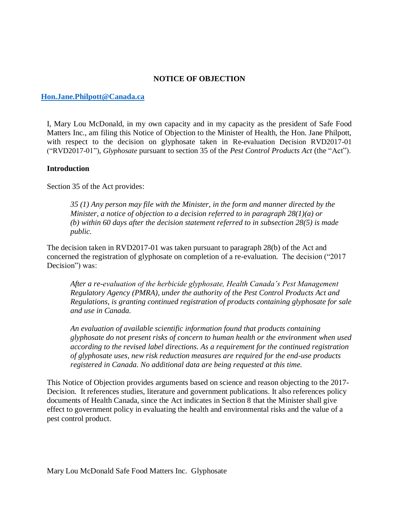#### **NOTICE OF OBJECTION**

#### **[Hon.Jane.Philpott@Canada.ca](mailto:Hon.Jane.Philpott@Canada.ca)**

I, Mary Lou McDonald, in my own capacity and in my capacity as the president of Safe Food Matters Inc., am filing this Notice of Objection to the Minister of Health, the Hon. Jane Philpott, with respect to the decision on glyphosate taken in Re-evaluation Decision RVD2017-01 ("RVD2017-01"), *Glyphosate* pursuant to section 35 of the *Pest Control Products Act* (the "Act").

#### **Introduction**

Section 35 of the Act provides:

*35 (1) Any person may file with the Minister, in the form and manner directed by the Minister, a notice of objection to a decision referred to in paragraph 28(1)(a) or (b) within 60 days after the decision statement referred to in subsection 28(5) is made public.*

The decision taken in RVD2017-01 was taken pursuant to paragraph 28(b) of the Act and concerned the registration of glyphosate on completion of a re-evaluation. The decision ("2017 Decision") was:

*After a re-evaluation of the herbicide glyphosate, Health Canada's Pest Management Regulatory Agency (PMRA), under the authority of the Pest Control Products Act and Regulations, is granting continued registration of products containing glyphosate for sale and use in Canada.* 

*An evaluation of available scientific information found that products containing glyphosate do not present risks of concern to human health or the environment when used according to the revised label directions. As a requirement for the continued registration of glyphosate uses, new risk reduction measures are required for the end-use products registered in Canada. No additional data are being requested at this time.*

This Notice of Objection provides arguments based on science and reason objecting to the 2017- Decision. It references studies, literature and government publications. It also references policy documents of Health Canada, since the Act indicates in Section 8 that the Minister shall give effect to government policy in evaluating the health and environmental risks and the value of a pest control product.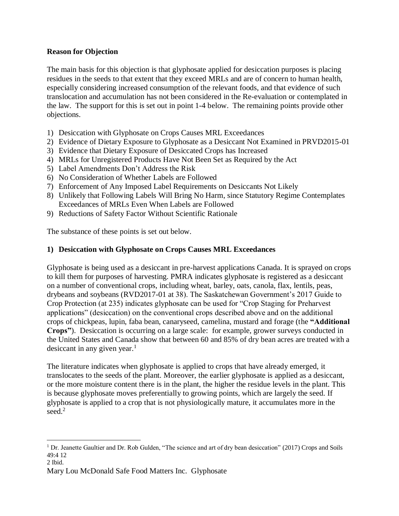# **Reason for Objection**

The main basis for this objection is that glyphosate applied for desiccation purposes is placing residues in the seeds to that extent that they exceed MRLs and are of concern to human health, especially considering increased consumption of the relevant foods, and that evidence of such translocation and accumulation has not been considered in the Re-evaluation or contemplated in the law. The support for this is set out in point 1-4 below. The remaining points provide other objections.

- 1) Desiccation with Glyphosate on Crops Causes MRL Exceedances
- 2) Evidence of Dietary Exposure to Glyphosate as a Desiccant Not Examined in PRVD2015-01
- 3) Evidence that Dietary Exposure of Desiccated Crops has Increased
- 4) MRLs for Unregistered Products Have Not Been Set as Required by the Act
- 5) Label Amendments Don't Address the Risk
- 6) No Consideration of Whether Labels are Followed
- 7) Enforcement of Any Imposed Label Requirements on Desiccants Not Likely
- 8) Unlikely that Following Labels Will Bring No Harm, since Statutory Regime Contemplates Exceedances of MRLs Even When Labels are Followed
- 9) Reductions of Safety Factor Without Scientific Rationale

The substance of these points is set out below.

# **1) Desiccation with Glyphosate on Crops Causes MRL Exceedances**

Glyphosate is being used as a desiccant in pre-harvest applications Canada. It is sprayed on crops to kill them for purposes of harvesting. PMRA indicates glyphosate is registered as a desiccant on a number of conventional crops, including wheat, barley, oats, canola, flax, lentils, peas, drybeans and soybeans (RVD2017-01 at 38). The Saskatchewan Government's 2017 Guide to Crop Protection (at 235) indicates glyphosate can be used for "Crop Staging for Preharvest applications" (desiccation) on the conventional crops described above and on the additional crops of chickpeas, lupin, faba bean, canaryseed, camelina, mustard and forage (the **"Additional Crops"**). Desiccation is occurring on a large scale: for example, grower surveys conducted in the United States and Canada show that between 60 and 85% of dry bean acres are treated with a desiccant in any given year. 1

The literature indicates when glyphosate is applied to crops that have already emerged, it translocates to the seeds of the plant. Moreover, the earlier glyphosate is applied as a desiccant, or the more moisture content there is in the plant, the higher the residue levels in the plant. This is because glyphosate moves preferentially to growing points, which are largely the seed. If glyphosate is applied to a crop that is not physiologically mature, it accumulates more in the seed. 2

 $\overline{a}$ 

 $1$  Dr. Jeanette Gaultier and Dr. Rob Gulden, "The science and art of dry bean desiccation" (2017) Crops and Soils 49:4 12

<sup>2</sup> Ibid.

Mary Lou McDonald Safe Food Matters Inc. Glyphosate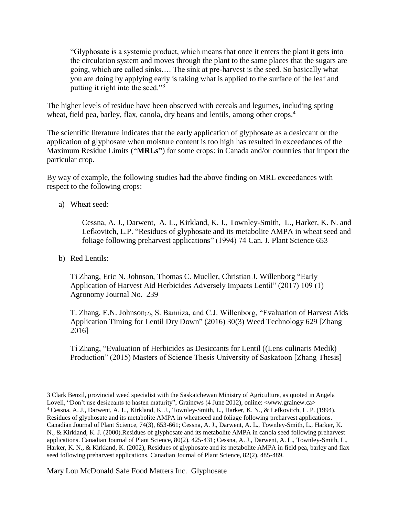"Glyphosate is a systemic product, which means that once it enters the plant it gets into the circulation system and moves through the plant to the same places that the sugars are going, which are called sinks…. The sink at pre-harvest is the seed. So basically what you are doing by applying early is taking what is applied to the surface of the leaf and putting it right into the seed."<sup>3</sup>

The higher levels of residue have been observed with cereals and legumes, including spring wheat, field pea, barley, flax, canola, dry beans and lentils, among other crops.<sup>4</sup>

The scientific literature indicates that the early application of glyphosate as a desiccant or the application of glyphosate when moisture content is too high has resulted in exceedances of the Maximum Residue Limits ("**MRLs"**) for some crops: in Canada and/or countries that import the particular crop.

By way of example, the following studies had the above finding on MRL exceedances with respect to the following crops:

a) Wheat seed:

Cessna, A. J., Darwent, A. L., Kirkland, K. J., Townley-Smith, L., Harker, K. N. and Lefkovitch, L.P. "Residues of glyphosate and its metabolite AMPA in wheat seed and foliage following preharvest applications" (1994) 74 Can. J. Plant Science 653

b) Red Lentils:

 $\overline{a}$ 

Ti Zhang, Eric N. Johnson, Thomas C. Mueller, Christian J. Willenborg "Early Application of Harvest Aid Herbicides Adversely Impacts Lentil" (2017) 109 (1) Agronomy Journal No. 239

T. Zhang, E.N. Johnson(2), S. Banniza, and C.J. Willenborg, "Evaluation of Harvest Aids Application Timing for Lentil Dry Down" (2016) 30(3) Weed Technology 629 [Zhang 2016]

Ti Zhang, "Evaluation of Herbicides as Desiccants for Lentil ((Lens culinaris Medik) Production" (2015) Masters of Science Thesis University of Saskatoon [Zhang Thesis]

<sup>3</sup> Clark Benzil, provincial weed specialist with the Saskatchewan Ministry of Agriculture, as quoted in Angela Lovell, "Don't use desiccants to hasten maturity", Grainews (4 June 2012), online: <www.grainew.ca>

<sup>4</sup> Cessna, A. J., Darwent, A. L., Kirkland, K. J., Townley-Smith, L., Harker, K. N., & Lefkovitch, L. P. (1994). Residues of glyphosate and its metabolite AMPA in wheatseed and foliage following preharvest applications. Canadian Journal of Plant Science, 74(3), 653-661; Cessna, A. J., Darwent, A. L., Townley-Smith, L., Harker, K. N., & Kirkland, K. J. (2000).Residues of glyphosate and its metabolite AMPA in canola seed following preharvest applications. Canadian Journal of Plant Science, 80(2), 425-431; Cessna, A. J., Darwent, A. L., Townley-Smith, L., Harker, K. N., & Kirkland, K. (2002), Residues of glyphosate and its metabolite AMPA in field pea, barley and flax seed following preharvest applications. Canadian Journal of Plant Science, 82(2), 485-489.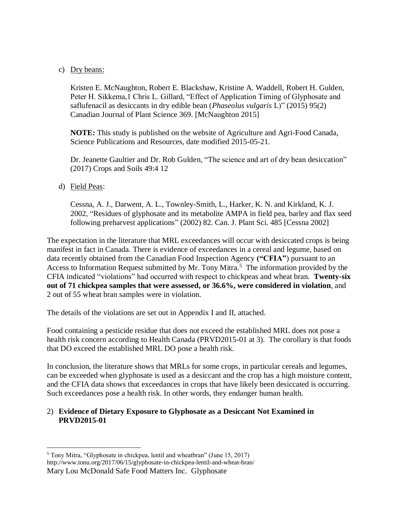## c) Dry beans:

Kristen E. McNaughton, Robert E. Blackshaw, Kristine A. Waddell, Robert H. Gulden, Peter H. Sikkema,1 Chris L. Gillard, "Effect of Application Timing of Glyphosate and saflufenacil as desiccants in dry edible bean (*Phaseolus vulgaris* L)" (2015) 95(2) Canadian Journal of Plant Science 369. [McNaughton 2015]

**NOTE:** This study is published on the website of Agriculture and Agri-Food Canada, Science Publications and Resources, date modified 2015-05-21.

Dr. Jeanette Gaultier and Dr. Rob Gulden, "The science and art of dry bean desiccation" (2017) Crops and Soils 49:4 12

## d) Field Peas:

Cessna, A. J., Darwent, A. L., Townley-Smith, L., Harker, K. N. and Kirkland, K. J. 2002, "Residues of glyphosate and its metabolite AMPA in field pea, barley and flax seed following preharvest applications" (2002) 82. Can. J. Plant Sci. 485 [Cessna 2002]

The expectation in the literature that MRL exceedances will occur with desiccated crops is being manifest in fact in Canada. There is evidence of exceedances in a cereal and legume, based on data recently obtained from the Canadian Food Inspection Agency **("CFIA"**) pursuant to an Access to Information Request submitted by Mr. Tony Mitra.<sup>5</sup> The information provided by the CFIA indicated "violations" had occurred with respect to chickpeas and wheat bran. **Twenty-six out of 71 chickpea samples that were assessed, or 36.6%, were considered in violation**, and 2 out of 55 wheat bran samples were in violation.

The details of the violations are set out in Appendix I and II, attached.

Food containing a pesticide residue that does not exceed the established MRL does not pose a health risk concern according to Health Canada (PRVD2015-01 at 3). The corollary is that foods that DO exceed the established MRL DO pose a health risk.

In conclusion, the literature shows that MRLs for some crops, in particular cereals and legumes, can be exceeded when glyphosate is used as a desiccant and the crop has a high moisture content, and the CFIA data shows that exceedances in crops that have likely been desiccated is occurring. Such exceedances pose a health risk. In other words, they endanger human health.

## 2) **Evidence of Dietary Exposure to Glyphosate as a Desiccant Not Examined in PRVD2015-01**

Mary Lou McDonald Safe Food Matters Inc. Glyphosate  $\overline{a}$ <sup>5</sup> Tony Mitra, "Glyphosate in chickpea, lentil and wheatbran" (June 15, 2017) http://www.tonu.org/2017/06/15/glyphosate-in-chickpea-lentil-and-wheat-bran/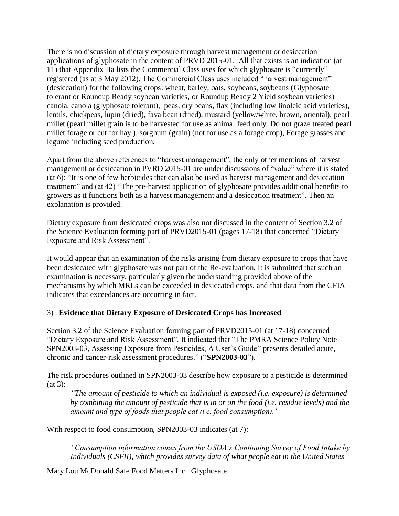There is no discussion of dietary exposure through harvest management or desiccation applications of glyphosate in the content of PRVD 2015-01. All that exists is an indication (at 11) that Appendix IIa lists the Commercial Class uses for which glyphosate is "currently" registered (as at 3 May 2012). The Commercial Class uses included "harvest management" (desiccation) for the following crops: wheat, barley, oats, soybeans, soybeans (Glyphosate tolerant or Roundup Ready soybean varieties, or Roundup Ready 2 Yield soybean varieties) canola, canola (glyphosate tolerant), peas, dry beans, flax (including low linoleic acid varieties), lentils, chickpeas, lupin (dried), fava bean (dried), mustard (yellow/white, brown, oriental), pearl millet (pearl millet grain is to be harvested for use as animal feed only. Do not graze treated pearl millet forage or cut for hay.), sorghum (grain) (not for use as a forage crop), Forage grasses and legume including seed production.

Apart from the above references to "harvest management", the only other mentions of harvest management or desiccation in PVRD 2015-01 are under discussions of "value" where it is stated (at 6): "It is one of few herbicides that can also be used as harvest management and desiccation treatment" and (at 42) "The pre-harvest application of glyphosate provides additional benefits to growers as it functions both as a harvest management and a desiccation treatment". Then an explanation is provided.

Dietary exposure from desiccated crops was also not discussed in the content of Section 3.2 of the Science Evaluation forming part of PRVD2015-01 (pages 17-18) that concerned "Dietary Exposure and Risk Assessment".

It would appear that an examination of the risks arising from dietary exposure to crops that have been desiccated with glyphosate was not part of the Re-evaluation. It is submitted that such an examination is necessary, particularly given the understanding provided above of the mechanisms by which MRLs can be exceeded in desiccated crops, and that data from the CFIA indicates that exceedances are occurring in fact.

#### 3) **Evidence that Dietary Exposure of Desiccated Crops has Increased**

Section 3.2 of the Science Evaluation forming part of PRVD2015-01 (at 17-18) concerned "Dietary Exposure and Risk Assessment". It indicated that "The PMRA Science Policy Note SPN2003-03, Assessing Exposure from Pesticides, A User's Guide" presents detailed acute, chronic and cancer-risk assessment procedures." ("**SPN2003-03**").

The risk procedures outlined in SPN2003-03 describe how exposure to a pesticide is determined (at 3):

*"The amount of pesticide to which an individual is exposed (i.e. exposure) is determined by combining the amount of pesticide that is in or on the food (i.e. residue levels) and the amount and type of foods that people eat (i.e. food consumption)."*

With respect to food consumption, SPN2003-03 indicates (at 7):

*"Consumption information comes from the USDA's Continuing Survey of Food Intake by Individuals (CSFII), which provides survey data of what people eat in the United States*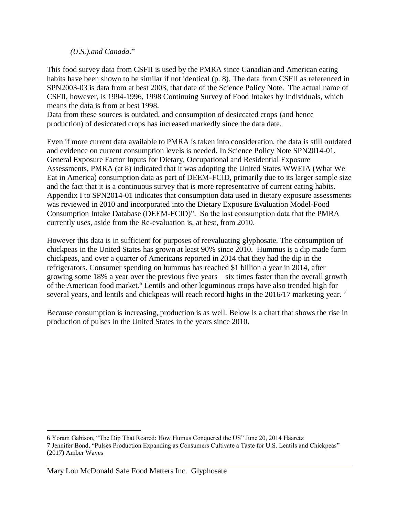*(U.S.).and Canada*."

This food survey data from CSFII is used by the PMRA since Canadian and American eating habits have been shown to be similar if not identical (p. 8). The data from CSFII as referenced in SPN2003-03 is data from at best 2003, that date of the Science Policy Note. The actual name of CSFII, however, is 1994-1996, 1998 Continuing Survey of Food Intakes by Individuals, which means the data is from at best 1998.

Data from these sources is outdated, and consumption of desiccated crops (and hence production) of desiccated crops has increased markedly since the data date.

Even if more current data available to PMRA is taken into consideration, the data is still outdated and evidence on current consumption levels is needed. In Science Policy Note SPN2014-01, General Exposure Factor Inputs for Dietary, Occupational and Residential Exposure Assessments, PMRA (at 8) indicated that it was adopting the United States WWEIA (What We Eat in America) consumption data as part of DEEM-FCID, primarily due to its larger sample size and the fact that it is a continuous survey that is more representative of current eating habits. Appendix I to SPN2014-01 indicates that consumption data used in dietary exposure assessments was reviewed in 2010 and incorporated into the Dietary Exposure Evaluation Model-Food Consumption Intake Database (DEEM-FCID)". So the last consumption data that the PMRA currently uses, aside from the Re-evaluation is, at best, from 2010.

However this data is in sufficient for purposes of reevaluating glyphosate. The consumption of chickpeas in the United States has grown at least 90% since 2010. Hummus is a dip made form chickpeas, and over a quarter of Americans reported in 2014 that they had the dip in the refrigerators. Consumer spending on hummus has reached \$1 billion a year in 2014, after growing some 18% a year over the previous five years – six times faster than the overall growth of the American food market. <sup>6</sup> Lentils and other leguminous crops have also trended high for several years, and lentils and chickpeas will reach record highs in the 2016/17 marketing year.<sup>7</sup>

Because consumption is increasing, production is as well. Below is a chart that shows the rise in production of pulses in the United States in the years since 2010.

 $\overline{a}$ 

<sup>6</sup> Yoram Gabison, "The Dip That Roared: How Humus Conquered the US" June 20, 2014 Haaretz 7 Jennifer Bond, "Pulses Production Expanding as Consumers Cultivate a Taste for U.S. Lentils and Chickpeas" (2017) Amber Waves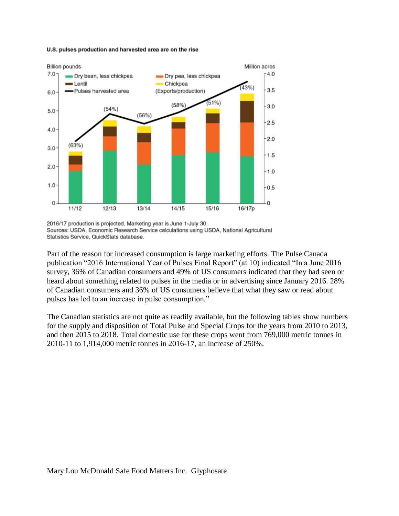#### U.S. pulses production and harvested area are on the rise



<sup>2016/17</sup> production is projected. Marketing year is June 1-July 30. Sources: USDA, Economic Research Service calculations using USDA, National Agricultural Statistics Service, QuickStats database.

Part of the reason for increased consumption is large marketing efforts. The Pulse Canada publication "2016 International Year of Pulses Final Report" (at 10) indicated "In a June 2016 survey, 36% of Canadian consumers and 49% of US consumers indicated that they had seen or heard about something related to pulses in the media or in advertising since January 2016. 28% of Canadian consumers and 36% of US consumers believe that what they saw or read about pulses has led to an increase in pulse consumption."

The Canadian statistics are not quite as readily available, but the following tables show numbers for the supply and disposition of Total Pulse and Special Crops for the years from 2010 to 2013, and then 2015 to 2018. Total domestic use for these crops went from 769,000 metric tonnes in 2010-11 to 1,914,000 metric tonnes in 2016-17, an increase of 250%.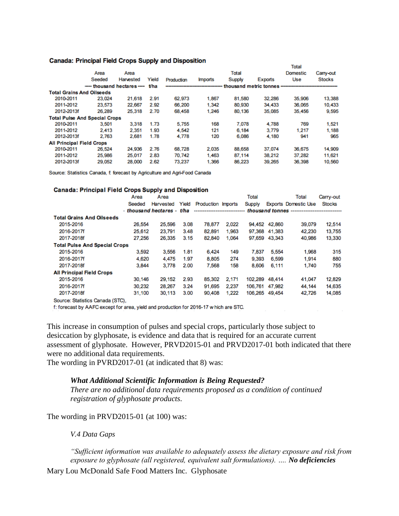#### Canada: Principal Field Crops Supply and Disposition

| <b>Address:</b> Throughout Tional or operational and proposition |           |                                      |                               |                |                                    |                |           |               |  |  |  |
|------------------------------------------------------------------|-----------|--------------------------------------|-------------------------------|----------------|------------------------------------|----------------|-----------|---------------|--|--|--|
|                                                                  |           |                                      |                               |                |                                    |                |           |               |  |  |  |
| Area                                                             | Area      |                                      |                               |                | Total                              | Domestic       | Carry-out |               |  |  |  |
| Seeded                                                           | Harvested | Yield                                | Production                    | <b>Imports</b> | Supply                             | <b>Exports</b> | Use       | <b>Stocks</b> |  |  |  |
|                                                                  |           | t/ha                                 |                               |                |                                    |                |           |               |  |  |  |
| <b>Total Grains And Oilseeds</b>                                 |           |                                      |                               |                |                                    |                |           |               |  |  |  |
| 23.024                                                           | 21.618    | 2.91                                 | 62.973                        | 1.867          | 81,580                             | 32.286         | 35,906    | 13,388        |  |  |  |
| 23.573                                                           | 22.667    | 2.92                                 | 66,200                        | 1.342          | 80.930                             | 34,433         | 36,065    | 10.433        |  |  |  |
| 2012-2013f<br>26.289                                             | 25,318    | 2.70                                 | 68,458                        | 1.246          | 80,136                             | 35,085         | 35,456    | 9,595         |  |  |  |
|                                                                  |           |                                      |                               |                |                                    |                |           |               |  |  |  |
| 3.501                                                            | 3.318     | 1.73                                 | 5,755                         | 168            | 7.078                              | 4.788          | 769       | 1.521         |  |  |  |
| 2.413                                                            | 2.351     | 1.93                                 | 4.542                         | 121            | 6.184                              | 3.779          | 1.217     | 1.188         |  |  |  |
| 2.763<br>2012-2013f                                              | 2.681     | 1.78                                 | 4,778                         | 120            | 6.086                              | 4.180          | 941       | 965           |  |  |  |
| <b>All Principal Field Crops</b>                                 |           |                                      |                               |                |                                    |                |           |               |  |  |  |
| 26,524                                                           | 24,936    | 2.76                                 | 68,728                        | 2.035          | 88,658                             | 37.074         | 36,675    | 14,909        |  |  |  |
| 25,986                                                           | 25,017    | 2.83                                 | 70.742                        | 1.463          | 87.114                             | 38.212         | 37,282    | 11.621        |  |  |  |
| 29.052<br>2012-2013f                                             | 28,000    | 2.62                                 | 73.237                        | 1.366          | 86,223                             | 39.265         | 36,398    | 10,560        |  |  |  |
|                                                                  |           | <b>Total Pulse And Special Crops</b> | ----- thousand hectares ----- |                | ---------------------------------- |                |           | <b>Total</b>  |  |  |  |

Source: Statistics Canada, f. forecast by Agriculture and Agri-Food Canada

#### **Canada: Principal Field Crops Supply and Disposition**

|                                      | Area                       | Area      |       |                                | Total |         |               | Total                                         | Carry-out     |
|--------------------------------------|----------------------------|-----------|-------|--------------------------------|-------|---------|---------------|-----------------------------------------------|---------------|
|                                      | Seeded                     | Harvested | Yield | <b>Production Imports</b>      |       | Supply  |               | <b>Exports Domestic Use</b>                   | <b>Stocks</b> |
|                                      | - thousand hectares - t/ha |           |       | ------------------------------ |       |         |               | thousand tonnes ----------------------------- |               |
| <b>Total Grains And Oilseeds</b>     |                            |           |       |                                |       |         |               |                                               |               |
| 2015-2016                            | 26,554                     | 25,596    | 3.08  | 78,877                         | 2.022 | 94.452  | 42.860        | 39,079                                        | 12,514        |
| 2016-2017f                           | 25,612                     | 23.791    | 3.48  | 82,891                         | 1.963 |         | 97.368 41.383 | 42.230                                        | 13,755        |
| 2017-2018f                           | 27,256                     | 26,335    | 3.15  | 82,840                         | 1,064 | 97.659  | 43.343        | 40,986                                        | 13,330        |
| <b>Total Pulse And Special Crops</b> |                            |           |       |                                |       |         |               |                                               |               |
| 2015-2016                            | 3,592                      | 3,556     | 1.81  | 6.424                          | 149   | 7.837   | 5,554         | 1,968                                         | 315           |
| 2016-2017f                           | 4.620                      | 4,475     | 1.97  | 8,805                          | 274   | 9.393   | 6.599         | 1.914                                         | 880           |
| 2017-2018f                           | 3.844                      | 3.778     | 2.00  | 7.568                          | 158   | 8,606   | 6.111         | 1.740                                         | 755           |
| <b>All Principal Field Crops</b>     |                            |           |       |                                |       |         |               |                                               |               |
| 2015-2016                            | 30,146                     | 29,152    | 2.93  | 85,302                         | 2,171 | 102,289 | 48.414        | 41,047                                        | 12,829        |
| 2016-2017f                           | 30.232                     | 28.267    | 3.24  | 91.695                         | 2.237 | 106.761 | 47.982        | 44.144                                        | 14.635        |
| 2017-2018f                           | 31,100                     | 30,113    | 3.00  | 90,408                         | 1,222 | 106,265 | 49,454        | 42,726                                        | 14,085        |
|                                      |                            |           |       |                                |       |         |               |                                               |               |

Source: Statistics Canada (STC),

f: forecast by AAFC except for area, yield and production for 2016-17 w hich are STC.

This increase in consumption of pulses and special crops, particularly those subject to desiccation by glyphosate, is evidence and data that is required for an accurate current assessment of glyphosate. However, PRVD2015-01 and PRVD2017-01 both indicated that there were no additional data requirements.

The wording in PVRD2017-01 (at indicated that 8) was:

#### *What Additional Scientific Information is Being Requested?*

*There are no additional data requirements proposed as a condition of continued registration of glyphosate products.* 

The wording in PRVD2015-01 (at 100) was:

*V.4 Data Gaps*

*"Sufficient information was available to adequately assess the dietary exposure and risk from exposure to glyphosate (all registered, equivalent salt formulations). …. No deficiencies*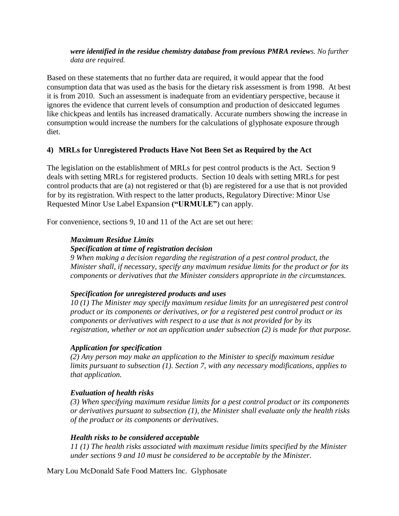#### *were identified in the residue chemistry database from previous PMRA reviews. No further data are required.*

Based on these statements that no further data are required, it would appear that the food consumption data that was used as the basis for the dietary risk assessment is from 1998. At best it is from 2010. Such an assessment is inadequate from an evidentiary perspective, because it ignores the evidence that current levels of consumption and production of desiccated legumes like chickpeas and lentils has increased dramatically. Accurate numbers showing the increase in consumption would increase the numbers for the calculations of glyphosate exposure through diet.

# **4) MRLs for Unregistered Products Have Not Been Set as Required by the Act**

The legislation on the establishment of MRLs for pest control products is the Act. Section 9 deals with setting MRLs for registered products. Section 10 deals with setting MRLs for pest control products that are (a) not registered or that (b) are registered for a use that is not provided for by its registration. With respect to the latter products, Regulatory Directive: Minor Use Requested Minor Use Label Expansion **("URMULE"**) can apply.

For convenience, sections 9, 10 and 11 of the Act are set out here:

## *Maximum Residue Limits*

## *Specification at time of registration decision*

*9 When making a decision regarding the registration of a pest control product, the Minister shall, if necessary, specify any maximum residue limits for the product or for its components or derivatives that the Minister considers appropriate in the circumstances.*

# *Specification for unregistered products and uses*

*10 (1) The Minister may specify maximum residue limits for an unregistered pest control product or its components or derivatives, or for a registered pest control product or its components or derivatives with respect to a use that is not provided for by its registration, whether or not an application under subsection (2) is made for that purpose.*

#### *Application for specification*

*(2) Any person may make an application to the Minister to specify maximum residue limits pursuant to subsection (1). Section 7, with any necessary modifications, applies to that application.*

# *Evaluation of health risks*

*(3) When specifying maximum residue limits for a pest control product or its components or derivatives pursuant to subsection (1), the Minister shall evaluate only the health risks of the product or its components or derivatives.*

# *Health risks to be considered acceptable*

*11 (1) The health risks associated with maximum residue limits specified by the Minister under sections 9 and 10 must be considered to be acceptable by the Minister.*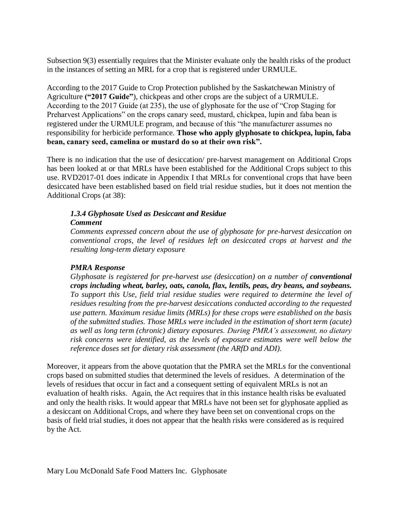Subsection 9(3) essentially requires that the Minister evaluate only the health risks of the product in the instances of setting an MRL for a crop that is registered under URMULE.

According to the 2017 Guide to Crop Protection published by the Saskatchewan Ministry of Agriculture **("2017 Guide"**), chickpeas and other crops are the subject of a URMULE. According to the 2017 Guide (at 235), the use of glyphosate for the use of "Crop Staging for Preharvest Applications" on the crops canary seed, mustard, chickpea, lupin and faba bean is registered under the URMULE program, and because of this "the manufacturer assumes no responsibility for herbicide performance. **Those who apply glyphosate to chickpea, lupin, faba bean, canary seed, camelina or mustard do so at their own risk".** 

There is no indication that the use of desiccation/ pre-harvest management on Additional Crops has been looked at or that MRLs have been established for the Additional Crops subject to this use. RVD2017-01 does indicate in Appendix I that MRLs for conventional crops that have been desiccated have been established based on field trial residue studies, but it does not mention the Additional Crops (at 38):

#### *1.3.4 Glyphosate Used as Desiccant and Residue Comment*

*Comments expressed concern about the use of glyphosate for pre-harvest desiccation on conventional crops, the level of residues left on desiccated crops at harvest and the resulting long-term dietary exposure*

# *PMRA Response*

*Glyphosate is registered for pre-harvest use (desiccation) on a number of conventional crops including wheat, barley, oats, canola, flax, lentils, peas, dry beans, and soybeans. To support this Use, field trial residue studies were required to determine the level of residues resulting from the pre-harvest desiccations conducted according to the requested use pattern. Maximum residue limits (MRLs) for these crops were established on the basis of the submitted studies. Those MRLs were included in the estimation of short term (acute) as well as long term (chronic) dietary exposures. During PMRA's assessment, no dietary risk concerns were identified, as the levels of exposure estimates were well below the reference doses set for dietary risk assessment (the ARfD and ADI).* 

Moreover, it appears from the above quotation that the PMRA set the MRLs for the conventional crops based on submitted studies that determined the levels of residues. A determination of the levels of residues that occur in fact and a consequent setting of equivalent MRLs is not an evaluation of health risks. Again, the Act requires that in this instance health risks be evaluated and only the health risks. It would appear that MRLs have not been set for glyphosate applied as a desiccant on Additional Crops, and where they have been set on conventional crops on the basis of field trial studies, it does not appear that the health risks were considered as is required by the Act.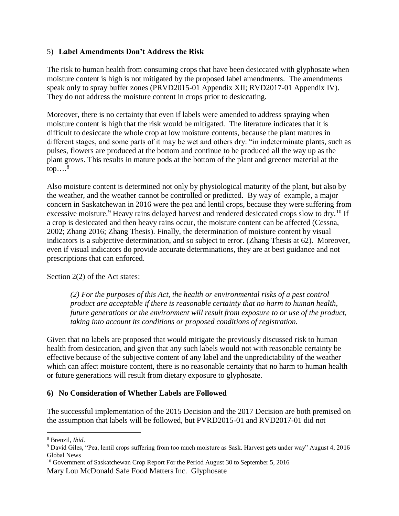# 5) **Label Amendments Don't Address the Risk**

The risk to human health from consuming crops that have been desiccated with glyphosate when moisture content is high is not mitigated by the proposed label amendments. The amendments speak only to spray buffer zones (PRVD2015-01 Appendix XII; RVD2017-01 Appendix IV). They do not address the moisture content in crops prior to desiccating.

Moreover, there is no certainty that even if labels were amended to address spraying when moisture content is high that the risk would be mitigated. The literature indicates that it is difficult to desiccate the whole crop at low moisture contents, because the plant matures in different stages, and some parts of it may be wet and others dry: "in indeterminate plants, such as pulses, flowers are produced at the bottom and continue to be produced all the way up as the plant grows. This results in mature pods at the bottom of the plant and greener material at the top…. 8

Also moisture content is determined not only by physiological maturity of the plant, but also by the weather, and the weather cannot be controlled or predicted. By way of example, a major concern in Saskatchewan in 2016 were the pea and lentil crops, because they were suffering from excessive moisture.<sup>9</sup> Heavy rains delayed harvest and rendered desiccated crops slow to dry.<sup>10</sup> If a crop is desiccated and then heavy rains occur, the moisture content can be affected (Cessna, 2002; Zhang 2016; Zhang Thesis). Finally, the determination of moisture content by visual indicators is a subjective determination, and so subject to error. (Zhang Thesis at 62). Moreover, even if visual indicators do provide accurate determinations, they are at best guidance and not prescriptions that can enforced.

Section 2(2) of the Act states:

*(2) For the purposes of this Act, the health or environmental risks of a pest control product are acceptable if there is reasonable certainty that no harm to human health, future generations or the environment will result from exposure to or use of the product, taking into account its conditions or proposed conditions of registration.* 

Given that no labels are proposed that would mitigate the previously discussed risk to human health from desiccation, and given that any such labels would not with reasonable certainty be effective because of the subjective content of any label and the unpredictability of the weather which can affect moisture content, there is no reasonable certainty that no harm to human health or future generations will result from dietary exposure to glyphosate.

# **6) No Consideration of Whether Labels are Followed**

The successful implementation of the 2015 Decision and the 2017 Decision are both premised on the assumption that labels will be followed, but PVRD2015-01 and RVD2017-01 did not

 $\overline{a}$ <sup>8</sup> Brenzil, *Ibid*.

<sup>9</sup> David Giles, "Pea, lentil crops suffering from too much moisture as Sask. Harvest gets under way" August 4, 2016 Global News

Mary Lou McDonald Safe Food Matters Inc. Glyphosate <sup>10</sup> Government of Saskatchewan Crop Report For the Period August 30 to September 5, 2016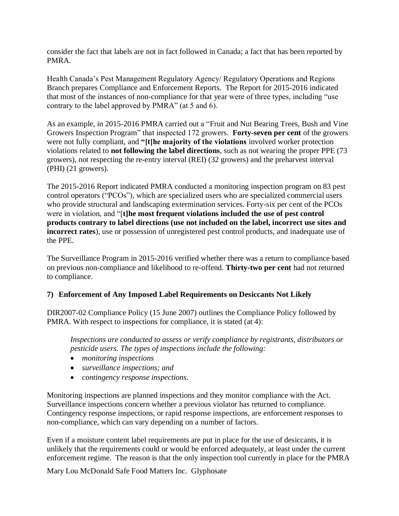consider the fact that labels are not in fact followed in Canada; a fact that has been reported by PMRA.

Health Canada's Pest Management Regulatory Agency/ Regulatory Operations and Regions Branch prepares Compliance and Enforcement Reports. The Report for 2015-2016 indicated that most of the instances of non-compliance for that year were of three types, including "use contrary to the label approved by PMRA" (at 5 and 6).

As an example, in 2015-2016 PMRA carried out a "Fruit and Nut Bearing Trees, Bush and Vine Growers Inspection Program" that inspected 172 growers. **Forty-seven per cent** of the growers were not fully compliant, and **"[t]he majority of the violations** involved worker protection violations related to **not following the label directions**, such as not wearing the proper PPE (73 growers), not respecting the re-entry interval (REI) (32 growers) and the preharvest interval (PHI) (21 growers).

The 2015-2016 Report indicated PMRA conducted a monitoring inspection program on 83 pest control operators ("PCOs"), which are specialized users who are specialized commercial users who provide structural and landscaping extermination services. Forty-six per cent of the PCOs were in violation, and "[t]he most frequent violations included the use of pest control **products contrary to label directions (use not included on the label, incorrect use sites and incorrect rates**), use or possession of unregistered pest control products, and inadequate use of the PPE.

The Surveillance Program in 2015-2016 verified whether there was a return to compliance based on previous non-compliance and likelihood to re-offend. **Thirty-two per cent** had not returned to compliance.

# **7) Enforcement of Any Imposed Label Requirements on Desiccants Not Likely**

DIR2007-02 Compliance Policy (15 June 2007) outlines the Compliance Policy followed by PMRA. With respect to inspections for compliance, it is stated (at 4):

*Inspections are conducted to assess or verify compliance by registrants, distributors or pesticide users. The types of inspections include the following:*

- *monitoring inspections*
- *surveillance inspections; and*
- *contingency response inspections.*

Monitoring inspections are planned inspections and they monitor compliance with the Act. Surveillance inspections concern whether a previous violator has returned to compliance. Contingency response inspections, or rapid response inspections, are enforcement responses to non-compliance, which can vary depending on a number of factors.

Even if a moisture content label requirements are put in place for the use of desiccants, it is unlikely that the requirements could or would be enforced adequately, at least under the current enforcement regime. The reason is that the only inspection tool currently in place for the PMRA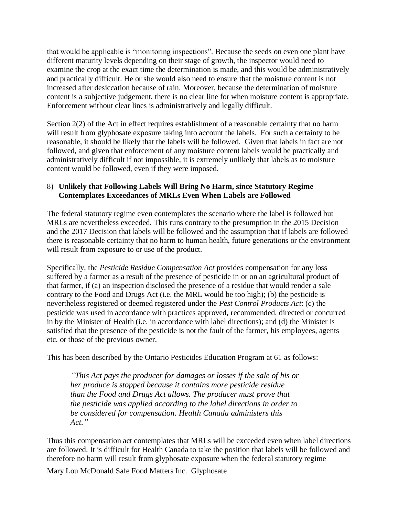that would be applicable is "monitoring inspections". Because the seeds on even one plant have different maturity levels depending on their stage of growth, the inspector would need to examine the crop at the exact time the determination is made, and this would be administratively and practically difficult. He or she would also need to ensure that the moisture content is not increased after desiccation because of rain. Moreover, because the determination of moisture content is a subjective judgement, there is no clear line for when moisture content is appropriate. Enforcement without clear lines is administratively and legally difficult.

Section 2(2) of the Act in effect requires establishment of a reasonable certainty that no harm will result from glyphosate exposure taking into account the labels. For such a certainty to be reasonable, it should be likely that the labels will be followed. Given that labels in fact are not followed, and given that enforcement of any moisture content labels would be practically and administratively difficult if not impossible, it is extremely unlikely that labels as to moisture content would be followed, even if they were imposed.

# 8) **Unlikely that Following Labels Will Bring No Harm, since Statutory Regime Contemplates Exceedances of MRLs Even When Labels are Followed**

The federal statutory regime even contemplates the scenario where the label is followed but MRLs are nevertheless exceeded. This runs contrary to the presumption in the 2015 Decision and the 2017 Decision that labels will be followed and the assumption that if labels are followed there is reasonable certainty that no harm to human health, future generations or the environment will result from exposure to or use of the product.

Specifically, the *Pesticide Residue Compensation Act* provides compensation for any loss suffered by a farmer as a result of the presence of pesticide in or on an agricultural product of that farmer, if (a) an inspection disclosed the presence of a residue that would render a sale contrary to the Food and Drugs Act (i.e. the MRL would be too high); (b) the pesticide is nevertheless registered or deemed registered under the *Pest Control Products Act*: (c) the pesticide was used in accordance with practices approved, recommended, directed or concurred in by the Minister of Health (i.e. in accordance with label directions); and (d) the Minister is satisfied that the presence of the pesticide is not the fault of the farmer, his employees, agents etc. or those of the previous owner.

This has been described by the Ontario Pesticides Education Program at 61 as follows:

*"This Act pays the producer for damages or losses if the sale of his or her produce is stopped because it contains more pesticide residue than the Food and Drugs Act allows. The producer must prove that the pesticide was applied according to the label directions in order to be considered for compensation. Health Canada administers this Act."*

Thus this compensation act contemplates that MRLs will be exceeded even when label directions are followed. It is difficult for Health Canada to take the position that labels will be followed and therefore no harm will result from glyphosate exposure when the federal statutory regime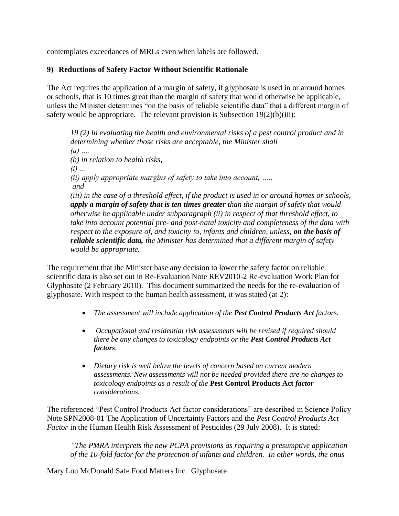contemplates exceedances of MRLs even when labels are followed.

# **9) Reductions of Safety Factor Without Scientific Rationale**

The Act requires the application of a margin of safety, if glyphosate is used in or around homes or schools, that is 10 times great than the margin of safety that would otherwise be applicable, unless the Minister determines "on the basis of reliable scientific data" that a different margin of safety would be appropriate. The relevant provision is Subsection  $19(2)(b)(iii)$ :

*19 (2) In evaluating the health and environmental risks of a pest control product and in determining whether those risks are acceptable, the Minister shall (a) …. (b) in relation to health risks, (i) … (ii) apply appropriate margins of safety to take into account, ….. and (iii) in the case of a threshold effect, if the product is used in or around homes or schools, apply a margin of safety that is ten times greater than the margin of safety that would otherwise be applicable under subparagraph (ii) in respect of that threshold effect, to take into account potential pre- and post-natal toxicity and completeness of the data with respect to the exposure of, and toxicity to, infants and children, unless, on the basis of reliable scientific data, the Minister has determined that a different margin of safety would be appropriate.*

The requirement that the Minister base any decision to lower the safety factor on reliable scientific data is also set out in Re-Evaluation Note REV2010-2 Re-evaluation Work Plan for Glyphosate (2 February 2010). This document summarized the needs for the re-evaluation of glyphosate. With respect to the human health assessment, it was stated (at 2):

- *The assessment will include application of the Pest Control Products Act factors.*
- *Occupational and residential risk assessments will be revised if required should there be any changes to toxicology endpoints or the Pest Control Products Act factors.*
- *Dietary risk is well below the levels of concern based on current modern assessments. New assessments will not be needed provided there are no changes to toxicology endpoints as a result of the* **Pest Control Products Act** *factor considerations.*

The referenced "Pest Control Products Act factor considerations" are described in Science Policy Note SPN2008-01 The Application of Uncertainty Factors and the *Pest Control Products Act Factor* in the Human Health Risk Assessment of Pesticides (29 July 2008). It is stated:

*"The PMRA interprets the new PCPA provisions as requiring a presumptive application of the 10-fold factor for the protection of infants and children. In other words, the onus*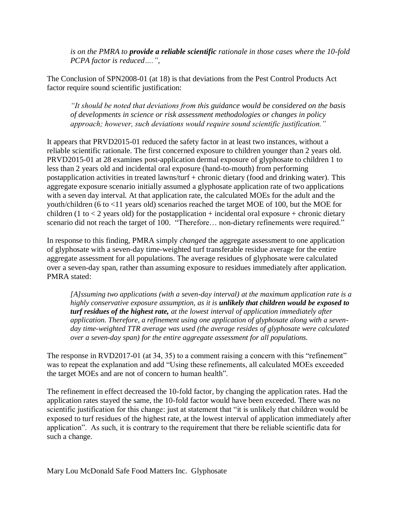*is on the PMRA to provide a reliable scientific rationale in those cases where the 10-fold PCPA factor is reduced….",*

The Conclusion of SPN2008-01 (at 18) is that deviations from the Pest Control Products Act factor require sound scientific justification:

*"It should be noted that deviations from this guidance would be considered on the basis of developments in science or risk assessment methodologies or changes in policy approach; however, such deviations would require sound scientific justification."*

It appears that PRVD2015-01 reduced the safety factor in at least two instances, without a reliable scientific rationale. The first concerned exposure to children younger than 2 years old. PRVD2015-01 at 28 examines post-application dermal exposure of glyphosate to children 1 to less than 2 years old and incidental oral exposure (hand-to-mouth) from performing postapplication activities in treated lawns/turf + chronic dietary (food and drinking water). This aggregate exposure scenario initially assumed a glyphosate application rate of two applications with a seven day interval. At that application rate, the calculated MOEs for the adult and the youth/children (6 to <11 years old) scenarios reached the target MOE of 100, but the MOE for children (1 to  $<$  2 years old) for the postapplication + incidental oral exposure + chronic dietary scenario did not reach the target of 100. "Therefore… non-dietary refinements were required."

In response to this finding, PMRA simply *changed* the aggregate assessment to one application of glyphosate with a seven-day time-weighted turf transferable residue average for the entire aggregate assessment for all populations. The average residues of glyphosate were calculated over a seven-day span, rather than assuming exposure to residues immediately after application. PMRA stated:

*[A]ssuming two applications (with a seven-day interval) at the maximum application rate is a highly conservative exposure assumption, as it is unlikely that children would be exposed to turf residues of the highest rate, at the lowest interval of application immediately after application. Therefore, a refinement using one application of glyphosate along with a sevenday time-weighted TTR average was used (the average resides of glyphosate were calculated over a seven-day span) for the entire aggregate assessment for all populations.*

The response in RVD2017-01 (at 34, 35) to a comment raising a concern with this "refinement" was to repeat the explanation and add "Using these refinements, all calculated MOEs exceeded the target MOEs and are not of concern to human health".

The refinement in effect decreased the 10-fold factor, by changing the application rates. Had the application rates stayed the same, the 10-fold factor would have been exceeded. There was no scientific justification for this change: just at statement that "it is unlikely that children would be exposed to turf residues of the highest rate, at the lowest interval of application immediately after application". As such, it is contrary to the requirement that there be reliable scientific data for such a change.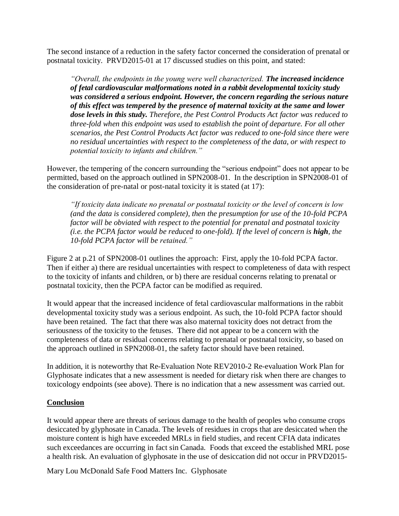The second instance of a reduction in the safety factor concerned the consideration of prenatal or postnatal toxicity. PRVD2015-01 at 17 discussed studies on this point, and stated:

*"Overall, the endpoints in the young were well characterized. The increased incidence of fetal cardiovascular malformations noted in a rabbit developmental toxicity study was considered a serious endpoint. However, the concern regarding the serious nature of this effect was tempered by the presence of maternal toxicity at the same and lower dose levels in this study. Therefore, the Pest Control Products Act factor was reduced to three-fold when this endpoint was used to establish the point of departure. For all other scenarios, the Pest Control Products Act factor was reduced to one-fold since there were no residual uncertainties with respect to the completeness of the data, or with respect to potential toxicity to infants and children."*

However, the tempering of the concern surrounding the "serious endpoint" does not appear to be permitted, based on the approach outlined in SPN2008-01. In the description in SPN2008-01 of the consideration of pre-natal or post-natal toxicity it is stated (at 17):

*"If toxicity data indicate no prenatal or postnatal toxicity or the level of concern is low (and the data is considered complete), then the presumption for use of the 10-fold PCPA factor will be obviated with respect to the potential for prenatal and postnatal toxicity (i.e. the PCPA factor would be reduced to one-fold). If the level of concern is high, the 10-fold PCPA factor will be retained."*

Figure 2 at p.21 of SPN2008-01 outlines the approach: First, apply the 10-fold PCPA factor. Then if either a) there are residual uncertainties with respect to completeness of data with respect to the toxicity of infants and children, or b) there are residual concerns relating to prenatal or postnatal toxicity, then the PCPA factor can be modified as required.

It would appear that the increased incidence of fetal cardiovascular malformations in the rabbit developmental toxicity study was a serious endpoint. As such, the 10-fold PCPA factor should have been retained. The fact that there was also maternal toxicity does not detract from the seriousness of the toxicity to the fetuses. There did not appear to be a concern with the completeness of data or residual concerns relating to prenatal or postnatal toxicity, so based on the approach outlined in SPN2008-01, the safety factor should have been retained.

In addition, it is noteworthy that Re-Evaluation Note REV2010-2 Re-evaluation Work Plan for Glyphosate indicates that a new assessment is needed for dietary risk when there are changes to toxicology endpoints (see above). There is no indication that a new assessment was carried out.

# **Conclusion**

It would appear there are threats of serious damage to the health of peoples who consume crops desiccated by glyphosate in Canada. The levels of residues in crops that are desiccated when the moisture content is high have exceeded MRLs in field studies, and recent CFIA data indicates such exceedances are occurring in fact sin Canada. Foods that exceed the established MRL pose a health risk. An evaluation of glyphosate in the use of desiccation did not occur in PRVD2015-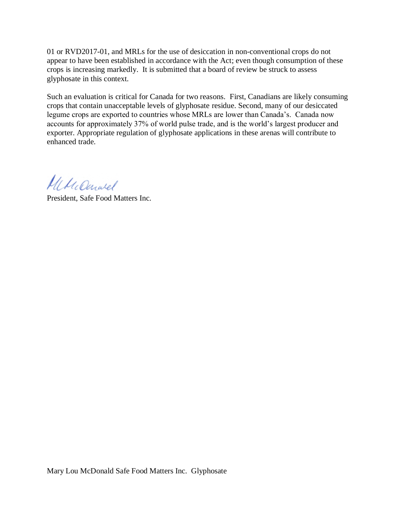01 or RVD2017-01, and MRLs for the use of desiccation in non-conventional crops do not appear to have been established in accordance with the Act; even though consumption of these crops is increasing markedly. It is submitted that a board of review be struck to assess glyphosate in this context.

Such an evaluation is critical for Canada for two reasons. First, Canadians are likely consuming crops that contain unacceptable levels of glyphosate residue. Second, many of our desiccated legume crops are exported to countries whose MRLs are lower than Canada's. Canada now accounts for approximately 37% of world pulse trade, and is the world's largest producer and exporter. Appropriate regulation of glyphosate applications in these arenas will contribute to enhanced trade.

MMcCanwel

President, Safe Food Matters Inc.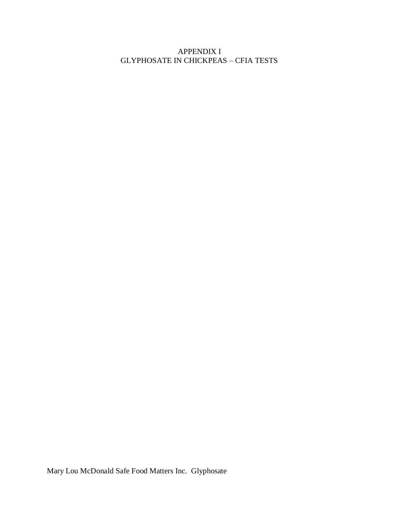APPENDIX I GLYPHOSATE IN CHICKPEAS – CFIA TESTS